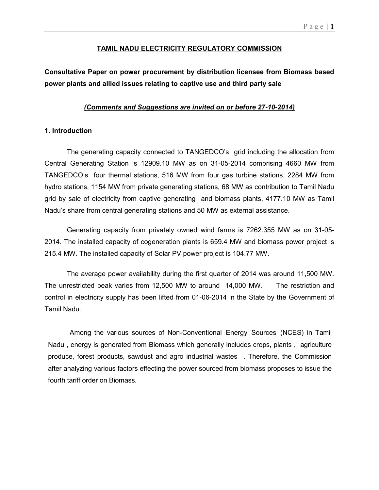### P a g e  $|1$

### TAMIL NADU ELECTRICITY REGULATORY COMMISSION

Consultative Paper on power procurement by distribution licensee from Biomass based power plants and allied issues relating to captive use and third party sale

### (Comments and Suggestions are invited on or before 27-10-2014)

### 1. Introduction

The generating capacity connected to TANGEDCO's grid including the allocation from Central Generating Station is 12909.10 MW as on 31-05-2014 comprising 4660 MW from TANGEDCO's four thermal stations, 516 MW from four gas turbine stations, 2284 MW from hydro stations, 1154 MW from private generating stations, 68 MW as contribution to Tamil Nadu grid by sale of electricity from captive generating and biomass plants, 4177.10 MW as Tamil Nadu's share from central generating stations and 50 MW as external assistance.

Generating capacity from privately owned wind farms is 7262.355 MW as on 31-05- 2014. The installed capacity of cogeneration plants is 659.4 MW and biomass power project is 215.4 MW. The installed capacity of Solar PV power project is 104.77 MW.

The average power availability during the first quarter of 2014 was around 11,500 MW. The unrestricted peak varies from 12,500 MW to around 14,000 MW. The restriction and control in electricity supply has been lifted from 01-06-2014 in the State by the Government of Tamil Nadu.

Among the various sources of Non-Conventional Energy Sources (NCES) in Tamil Nadu , energy is generated from Biomass which generally includes crops, plants , agriculture produce, forest products, sawdust and agro industrial wastes . Therefore, the Commission after analyzing various factors effecting the power sourced from biomass proposes to issue the fourth tariff order on Biomass.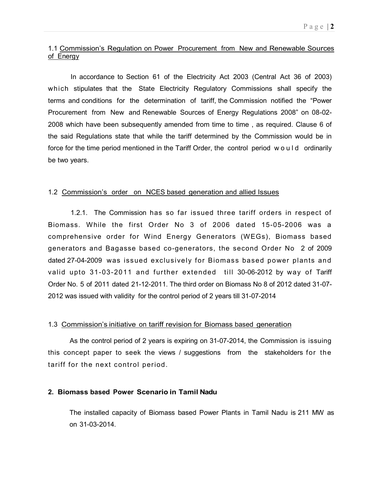## 1.1 Commission's Regulation on Power Procurement from New and Renewable Sources of Energy

In accordance to Section 61 of the Electricity Act 2003 (Central Act 36 of 2003) which stipulates that the State Electricity Regulatory Commissions shall specify the terms and conditions for the determination of tariff, the Commission notified the "Power Procurement from New and Renewable Sources of Energy Regulations 2008" on 08-02- 2008 which have been subsequently amended from time to time , as required. Clause 6 of the said Regulations state that while the tariff determined by the Commission would be in force for the time period mentioned in the Tariff Order, the control period would ordinarily be two years.

## 1.2 Commission's order on NCES based generation and allied Issues

1.2.1. The Commission has so far issued three tariff orders in respect of Biomass. While the first Order No 3 of 2006 dated 15-05-2006 was a comprehensive order for Wind Energy Generators (WEGs), Biomass based generators and Bagasse based co-generators, the second Order No 2 of 2009 dated 27-04-2009 was issued exclusively for Biomass based power plants and valid upto 31-03-2011 and further extended till 30-06-2012 by way of Tariff Order No. 5 of 2011 dated 21-12-2011. The third order on Biomass No 8 of 2012 dated 31-07- 2012 was issued with validity for the control period of 2 years till 31-07-2014

## 1.3 Commission's initiative on tariff revision for Biomass based generation

As the control period of 2 years is expiring on 31-07-2014, the Commission is issuing this concept paper to seek the views / suggestions from the stakeholders for the tariff for the next control period.

### 2. Biomass based Power Scenario in Tamil Nadu

The installed capacity of Biomass based Power Plants in Tamil Nadu is 211 MW as on 31-03-2014.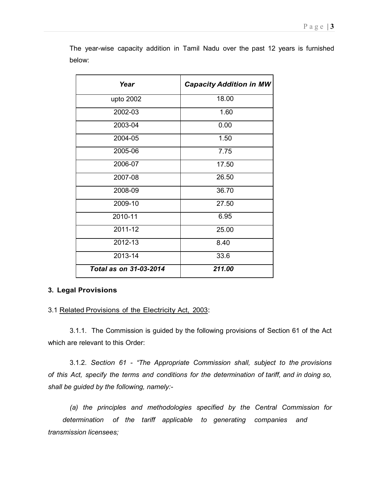| Year                   | <b>Capacity Addition in MW</b> |  |  |  |
|------------------------|--------------------------------|--|--|--|
| upto 2002              | 18.00                          |  |  |  |
| 2002-03                | 1.60                           |  |  |  |
| 2003-04                | 0.00                           |  |  |  |
| 2004-05                | 1.50                           |  |  |  |
| 2005-06                | 7.75                           |  |  |  |
| 2006-07                | 17.50                          |  |  |  |
| 2007-08                | 26.50                          |  |  |  |
| 2008-09                | 36.70                          |  |  |  |
| 2009-10                | 27.50                          |  |  |  |
| 2010-11                | 6.95                           |  |  |  |
| 2011-12                | 25.00                          |  |  |  |
| 2012-13                | 8.40                           |  |  |  |
| 2013-14                | 33.6                           |  |  |  |
| Total as on 31-03-2014 | 211.00                         |  |  |  |

The year-wise capacity addition in Tamil Nadu over the past 12 years is furnished below:

## 3. Legal Provisions

3.1 Related Provisions of the Electricity Act, 2003:

3.1.1. The Commission is guided by the following provisions of Section 61 of the Act which are relevant to this Order:

3.1.2. Section 61 - "The Appropriate Commission shall, subject to the provisions of this Act, specify the terms and conditions for the determination of tariff, and in doing so, shall be guided by the following, namely:-

(a) the principles and methodologies specified by the Central Commission for determination of the tariff applicable to generating companies and transmission licensees;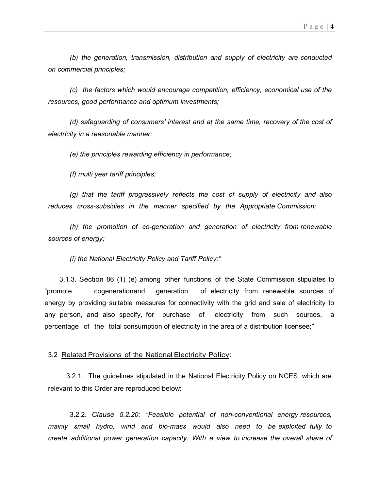(b) the generation, transmission, distribution and supply of electricity are conducted on commercial principles;

(c) the factors which would encourage competition, efficiency, economical use of the resources, good performance and optimum investments;

(d) safeguarding of consumers' interest and at the same time, recovery of the cost of electricity in a reasonable manner;

(e) the principles rewarding efficiency in performance;

(f) multi year tariff principles;

(g) that the tariff progressively reflects the cost of supply of electricity and also reduces cross-subsidies in the manner specified by the Appropriate Commission;

(h) the promotion of co-generation and generation of electricity from renewable sources of energy;

(i) the National Electricity Policy and Tariff Policy:"

 3.1.3. Section 86 (1) (e) , among other functions of the State Commission stipulates to "promote cogeneration and generation of electricity from renewable sources of energy by providing suitable measures for connectivity with the grid and sale of electricity to any person, and also specify, for purchase of electricity from such sources, a percentage of the total consumption of electricity in the area of a distribution licensee;"

### 3.2 Related Provisions of the National Electricity Policy:

3.2.1. The guidelines stipulated in the National Electricity Policy on NCES, which are relevant to this Order are reproduced below:

3.2.2. Clause 5.2.20: "Feasible potential of non-conventional energy resources, mainly small hydro, wind and bio-mass would also need to be exploited fully to create additional power generation capacity. With a view to increase the overall share of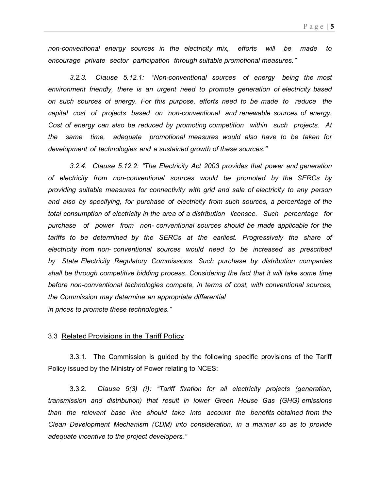non-conventional energy sources in the electricity mix, efforts will be made to encourage private sector participation through suitable promotional measures."

3.2.3. Clause 5.12.1: "Non-conventional sources of energy being the most environment friendly, there is an urgent need to promote generation of electricity based on such sources of energy. For this purpose, efforts need to be made to reduce the capital cost of projects based on non-conventional and renewable sources of energy. Cost of energy can also be reduced by promoting competition within such projects. At the same time, adequate promotional measures would also have to be taken for development of technologies and a sustained growth of these sources."

3.2.4. Clause 5.12.2: "The Electricity Act 2003 provides that power and generation of electricity from non-conventional sources would be promoted by the SERCs by providing suitable measures for connectivity with grid and sale of electricity to any person and also by specifying, for purchase of electricity from such sources, a percentage of the total consumption of electricity in the area of a distribution licensee. Such percentage for purchase of power from non- conventional sources should be made applicable for the tariffs to be determined by the SERCs at the earliest. Progressively the share of electricity from non- conventional sources would need to be increased as prescribed by State Electricity Regulatory Commissions. Such purchase by distribution companies shall be through competitive bidding process. Considering the fact that it will take some time before non-conventional technologies compete, in terms of cost, with conventional sources, the Commission may determine an appropriate differential in prices to promote these technologies."

#### 3.3 Related Provisions in the Tariff Policy

3.3.1. The Commission is guided by the following specific provisions of the Tariff Policy issued by the Ministry of Power relating to NCES:

3.3.2. Clause 5(3) (i): "Tariff fixation for all electricity projects (generation, transmission and distribution) that result in lower Green House Gas (GHG) emissions than the relevant base line should take into account the benefits obtained from the Clean Development Mechanism (CDM) into consideration, in a manner so as to provide adequate incentive to the project developers."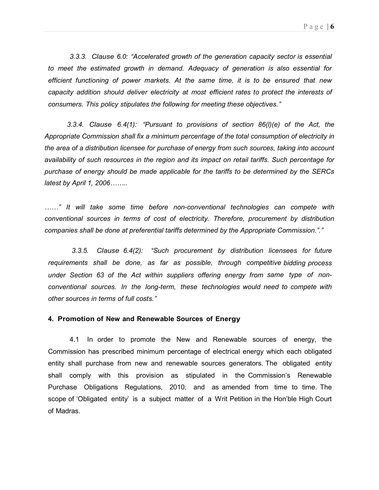3.3.3. Clause 6.0: "Accelerated growth of the generation capacity sector is essential to meet the estimated growth in demand. Adequacy of generation is also essential for efficient functioning of power markets. At the same time, it is to be ensured that new capacity addition should deliver electricity at most efficient rates to protect the interests of consumers. This policy stipulates the following for meeting these objectives."

 3.3.4. Clause 6.4(1): "Pursuant to provisions of section 86(l)(e) of the Act, the Appropriate Commission shall fix a minimum percentage of the total consumption of electricity in the area of a distribution licensee for purchase of energy from such sources, taking into account availability of such resources in the region and its impact on retail tariffs. Such percentage for purchase of energy should be made applicable for the tariffs to be determined by the SERCs latest by April 1, 2006........

......" It will take some time before non-conventional technologies can compete with conventional sources in terms of cost of electricity. Therefore, procurement by distribution companies shall be done at preferential tariffs determined by the Appropriate Commission."."

3.3.5. Clause 6.4(2): "Such procurement by distribution licensees for future requirements shall be done, as far as possible, through competitive bidding process under Section 63 of the Act within suppliers offering energy from same type of nonconventional sources. In the long-term, these technologies would need to compete with other sources in terms of full costs."

#### 4. Promotion of New and Renewable Sources of Energy

4.1 In order to promote the New and Renewable sources of energy, the Commission has prescribed minimum percentage of electrical energy which each obligated entity shall purchase from new and renewable sources generators. The obligated entity shall comply with this provision as stipulated in the Commission's Renewable Purchase Obligations Regulations, 2010, and as amended from time to time. The scope of 'Obligated entity' is a subject matter of a Writ Petition in the Hon'ble High Court of Madras.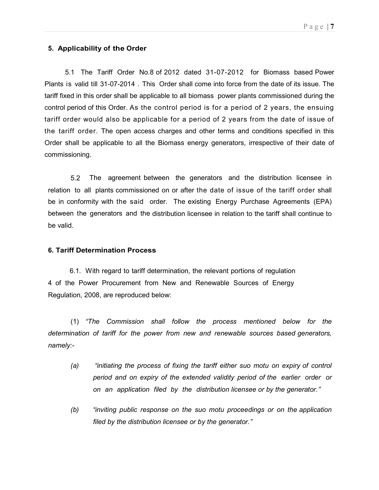## 5. Applicability of the Order

 5.1 The Tariff Order No.8 of 2012 dated 31-07-2012 for Biomass based Power Plants is valid till 31-07-2014 . This Order shall come into force from the date of its issue. The tariff fixed in this order shall be applicable to all biomass power plants commissioned during the control period of this Order. As the control period is for a period of 2 years, the ensuing tariff order would also be applicable for a period of 2 years from the date of issue of the tariff order. The open access charges and other terms and conditions specified in this Order shall be applicable to all the Biomass energy generators, irrespective of their date of commissioning.

5.2 The agreement between the generators and the distribution licensee in relation to all plants commissioned on or after the date of issue of the tariff order shall be in conformity with the said order. The existing Energy Purchase Agreements (EPA) between the generators and the distribution licensee in relation to the tariff shall continue to be valid.

### 6. Tariff Determination Process

6.1. With regard to tariff determination, the relevant portions of regulation 4 of the Power Procurement from New and Renewable Sources of Energy Regulation, 2008, are reproduced below:

(1) "The Commission shall follow the process mentioned below for the determination of tariff for the power from new and renewable sources based generators, namely:-

- (a) "initiating the process of fixing the tariff either suo motu on expiry of control period and on expiry of the extended validity period of the earlier order or on an application filed by the distribution licensee or by the generator."
- (b) "inviting public response on the suo motu proceedings or on the application filed by the distribution licensee or by the generator."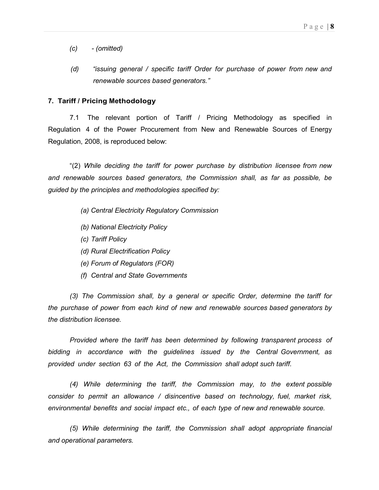- (c) (omitted)
- (d) "issuing general / specific tariff Order for purchase of power from new and renewable sources based generators."

### 7. Tariff / Pricing Methodology

7.1 The relevant portion of Tariff / Pricing Methodology as specified in Regulation 4 of the Power Procurement from New and Renewable Sources of Energy Regulation, 2008, is reproduced below:

"(2) While deciding the tariff for power purchase by distribution licensee from new and renewable sources based generators, the Commission shall, as far as possible, be guided by the principles and methodologies specified by:

- (a) Central Electricity Regulatory Commission
- (b) National Electricity Policy
- (c) Tariff Policy
- (d) Rural Electrification Policy
- (e) Forum of Regulators (FOR)
- (f) Central and State Governments

(3) The Commission shall, by a general or specific Order, determine the tariff for the purchase of power from each kind of new and renewable sources based generators by the distribution licensee.

Provided where the tariff has been determined by following transparent process of bidding in accordance with the guidelines issued by the Central Government, as provided under section 63 of the Act, the Commission shall adopt such tariff.

(4) While determining the tariff, the Commission may, to the extent possible consider to permit an allowance / disincentive based on technology, fuel, market risk, environmental benefits and social impact etc., of each type of new and renewable source.

(5) While determining the tariff, the Commission shall adopt appropriate financial and operational parameters.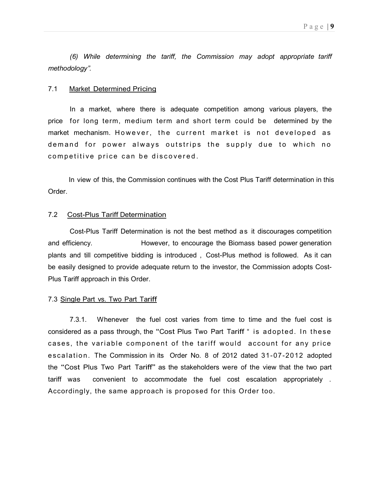(6) While determining the tariff, the Commission may adopt appropriate tariff methodology".

### 7.1 Market Determined Pricing

In a market, where there is adequate competition among various players, the price for long term, medium term and short term could be determined by the market mechanism. However, the current market is not developed as demand for power always outstrips the supply due to which no competitive price can be discovered.

 In view of this, the Commission continues with the Cost Plus Tariff determination in this Order.

### 7.2 Cost-Plus Tariff Determination

Cost-Plus Tariff Determination is not the best method as it discourages competition and efficiency. However, to encourage the Biomass based power generation plants and till competitive bidding is introduced , Cost-Plus method is followed. As it can be easily designed to provide adequate return to the investor, the Commission adopts Cost-Plus Tariff approach in this Order.

### 7.3 Single Part vs. Two Part Tariff

7.3.1. Whenever the fuel cost varies from time to time and the fuel cost is considered as a pass through, the "Cost Plus Two Part Tariff" is adopted. In these cases, the variable component of the tariff would account for any price e scalation. The Commission in its Order No. 8 of 2012 dated 31-07-2012 adopted the "Cost Plus Two Part Tariff" as the stakeholders were of the view that the two part tariff was convenient to accommodate the fuel cost escalation appropriately . Accordingly, the same approach is proposed for this Order too.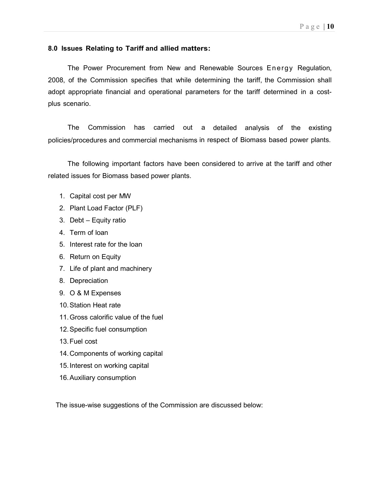## 8.0 Issues Relating to Tariff and allied matters:

The Power Procurement from New and Renewable Sources Energy Regulation, 2008, of the Commission specifies that while determining the tariff, the Commission shall adopt appropriate financial and operational parameters for the tariff determined in a costplus scenario.

The Commission has carried out a detailed analysis of the existing policies/procedures and commercial mechanisms in respect of Biomass based power plants.

The following important factors have been considered to arrive at the tariff and other related issues for Biomass based power plants.

- 1. Capital cost per MW
- 2. Plant Load Factor (PLF)
- 3. Debt Equity ratio
- 4. Term of loan
- 5. Interest rate for the loan
- 6. Return on Equity
- 7. Life of plant and machinery
- 8. Depreciation
- 9. O & M Expenses
- 10. Station Heat rate
- 11. Gross calorific value of the fuel
- 12. Specific fuel consumption
- 13. Fuel cost
- 14. Components of working capital
- 15. Interest on working capital
- 16. Auxiliary consumption

The issue-wise suggestions of the Commission are discussed below: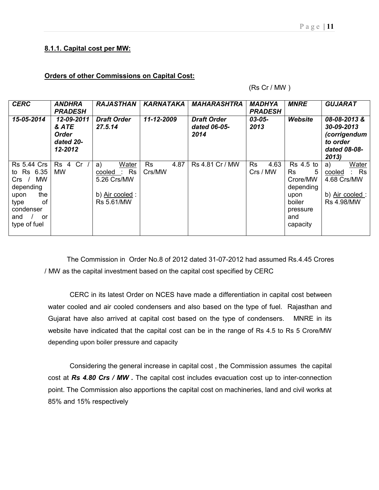### Orders of other Commissions on Capital Cost:

(Rs Cr / MW )

| <b>CERC</b>                                                                                                                              | <b>ANDHRA</b><br><b>PRADESH</b>                             | <b>RAJASTHAN</b>                                                           | <b>KARNATAKA</b>            | <b>MAHARASHTRA</b>                         | <b>MADHYA</b><br><b>PRADESH</b> | <b>MNRE</b>                                                                                           | <b>GUJARAT</b>                                                                        |
|------------------------------------------------------------------------------------------------------------------------------------------|-------------------------------------------------------------|----------------------------------------------------------------------------|-----------------------------|--------------------------------------------|---------------------------------|-------------------------------------------------------------------------------------------------------|---------------------------------------------------------------------------------------|
| 15-05-2014                                                                                                                               | 12-09-2011<br>& ATE<br><b>Order</b><br>dated 20-<br>12-2012 | <b>Draft Order</b><br>27.5.14                                              | 11-12-2009                  | <b>Draft Order</b><br>dated 06-05-<br>2014 | $03 - 05 -$<br>2013             | Website                                                                                               | 08-08-2013&<br>30-09-2013<br>(corrigendum<br>to order<br>dated 08-08-<br>2013         |
| <b>Rs 5.44 Crs</b><br>to Rs 6.35<br><b>MW</b><br>Crs<br>depending<br>the<br>upon<br>Ωf<br>type<br>condenser<br>and<br>or<br>type of fuel | Cr<br>Rs<br>4<br><b>MW</b>                                  | Water<br>a)<br>Rs<br>cooled<br>5.26 Crs/MW<br>b) Air cooled:<br>Rs 5.61/MW | 4.87<br><b>Rs</b><br>Crs/MW | Rs 4.81 Cr / MW                            | 4.63<br><b>Rs</b><br>Crs / MW   | Rs 4.5 to<br><b>Rs</b><br>5<br>Crore/MW<br>depending<br>upon<br>boiler<br>pressure<br>and<br>capacity | Water<br>a)<br>$:$ Rs<br>cooled<br>4.68 Crs/MW<br>b) Air cooled:<br><b>Rs 4.98/MW</b> |

The Commission in Order No.8 of 2012 dated 31-07-2012 had assumed Rs.4.45 Crores / MW as the capital investment based on the capital cost specified by CERC

CERC in its latest Order on NCES have made a differentiation in capital cost between water cooled and air cooled condensers and also based on the type of fuel. Rajasthan and Gujarat have also arrived at capital cost based on the type of condensers. MNRE in its website have indicated that the capital cost can be in the range of Rs 4.5 to Rs 5 Crore/MW depending upon boiler pressure and capacity

Considering the general increase in capital cost , the Commission assumes the capital cost at Rs 4.80 Crs / MW. The capital cost includes evacuation cost up to inter-connection point. The Commission also apportions the capital cost on machineries, land and civil works at 85% and 15% respectively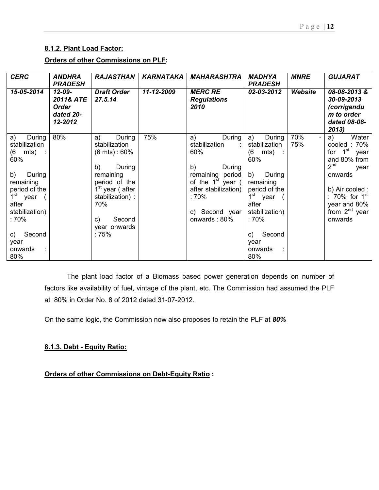# 8.1.2. Plant Load Factor:

# Orders of other Commissions on PLF:

| <b>CERC</b>                                                                                                                                                                                           | <b>ANDHRA</b><br><b>PRADESH</b>                                  | <b>RAJASTHAN</b>                                                                                                                                                                                                         | KARNATAKA  | <b>MAHARASHTRA</b>                                                                                                                                                         | <b>MADHYA</b><br><b>PRADESH</b>                                                                                                                                                                                        | <b>MNRE</b> | <b>GUJARAT</b>                                                                                                                                                                        |
|-------------------------------------------------------------------------------------------------------------------------------------------------------------------------------------------------------|------------------------------------------------------------------|--------------------------------------------------------------------------------------------------------------------------------------------------------------------------------------------------------------------------|------------|----------------------------------------------------------------------------------------------------------------------------------------------------------------------------|------------------------------------------------------------------------------------------------------------------------------------------------------------------------------------------------------------------------|-------------|---------------------------------------------------------------------------------------------------------------------------------------------------------------------------------------|
| 15-05-2014                                                                                                                                                                                            | $12 - 09 -$<br>2011& ATE<br><b>Order</b><br>dated 20-<br>12-2012 | <b>Draft Order</b><br>27.5.14                                                                                                                                                                                            | 11-12-2009 | <b>MERC RE</b><br><b>Regulations</b><br>2010                                                                                                                               | 02-03-2012                                                                                                                                                                                                             | Website     | 08-08-2013&<br>30-09-2013<br>(corrigendu<br>m to order<br>dated 08-08-<br>2013)                                                                                                       |
| During<br>a)<br>stabilization<br>mts)<br>(6<br>60%<br>b)<br>During<br>remaining<br>period of the<br>1 <sup>st</sup> year<br>after<br>stabilization)<br>:70%<br>Second<br>C)<br>year<br>onwards<br>80% | 80%                                                              | During<br>a)<br>stabilization<br>$(6 \text{ mts}) : 60\%$<br>b)<br>During<br>remaining<br>period of the<br>1 <sup>st</sup> year (after<br>stabilization) :<br>70%<br>Second<br>$\mathsf{c}$ )<br>year onwards<br>: $75%$ | 75%        | During<br>a)<br>stabilization<br>60%<br>b)<br>During<br>remaining period<br>of the $1^{st}$ year (<br>after stabilization)  <br>: $70\%$<br>c) Second year<br>onwards: 80% | During<br>a)<br>stabilization<br>(6)<br>mts)<br>60%<br>b)<br>During<br>remaining<br>period of the<br>$1^{\rm st}$<br>year<br>after<br>stabilization)<br>: $70\%$<br>Second<br>$\mathsf{C}$ )<br>year<br>onwards<br>80% | 70%<br>75%  | Water<br>a)<br>cooled: 70%<br>for $1st$<br>year<br>and 80% from<br>$2^{nd}$<br>year<br>onwards<br>b) Air cooled :<br>: 70% for $1st$<br>year and 80%<br>from $2^{nd}$ year<br>onwards |

The plant load factor of a Biomass based power generation depends on number of factors like availability of fuel, vintage of the plant, etc. The Commission had assumed the PLF at 80% in Order No. 8 of 2012 dated 31-07-2012.

On the same logic, the Commission now also proposes to retain the PLF at 80%

## 8.1.3. Debt - Equity Ratio:

Orders of other Commissions on Debt-Equity Ratio :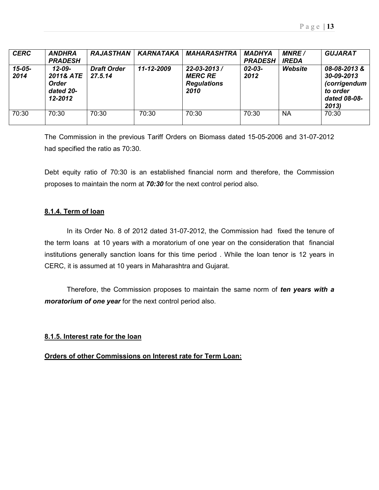| <b>CERC</b>         | <b>ANDHRA</b><br><b>PRADESH</b>                                  | <b>RAJASTHAN</b>              | <b>KARNATAKA</b> | <b>MAHARASHTRA</b>                                           | <b>MADHYA</b><br><b>PRADESH</b> | <b>MNRE</b><br><b>IREDA</b> | <b>GUJARAT</b>                                                                        |
|---------------------|------------------------------------------------------------------|-------------------------------|------------------|--------------------------------------------------------------|---------------------------------|-----------------------------|---------------------------------------------------------------------------------------|
| $15 - 05 -$<br>2014 | $12 - 09 -$<br>2011& ATE<br><b>Order</b><br>dated 20-<br>12-2012 | <b>Draft Order</b><br>27.5.14 | 11-12-2009       | 22-03-2013 /<br><b>MERC RE</b><br><b>Regulations</b><br>2010 | 02-03-<br>2012                  | Website                     | 08-08-2013&<br>30-09-2013<br><i>(corrigendum</i><br>to order<br>dated 08-08-<br>2013) |
| 70:30               | 70:30                                                            | 70:30                         | 70:30            | 70:30                                                        | 70:30                           | <b>NA</b>                   | 70:30                                                                                 |

The Commission in the previous Tariff Orders on Biomass dated 15-05-2006 and 31-07-2012 had specified the ratio as 70:30.

Debt equity ratio of 70:30 is an established financial norm and therefore, the Commission proposes to maintain the norm at 70:30 for the next control period also.

## 8.1.4. Term of loan

In its Order No. 8 of 2012 dated 31-07-2012, the Commission had fixed the tenure of the term loans at 10 years with a moratorium of one year on the consideration that financial institutions generally sanction loans for this time period . While the loan tenor is 12 years in CERC, it is assumed at 10 years in Maharashtra and Gujarat.

Therefore, the Commission proposes to maintain the same norm of ten years with a moratorium of one year for the next control period also.

## 8.1.5. Interest rate for the loan

### Orders of other Commissions on Interest rate for Term Loan: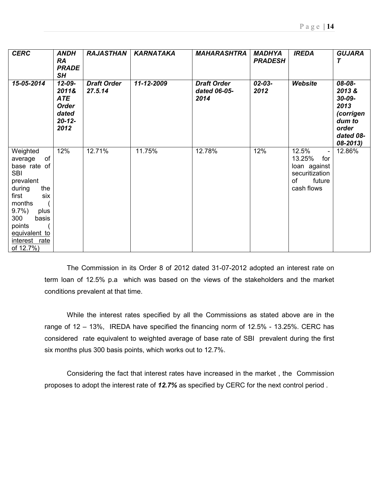| <b>CERC</b>                                                                                                                                                                                                 | <b>ANDH</b><br><b>RA</b><br><b>PRADE</b><br>SH                                     | <b>RAJASTHAN</b>              | <b>KARNATAKA</b> | <b>MAHARASHTRA</b>                         | <b>MADHYA</b><br><b>PRADESH</b> | <b>IREDA</b>                                                                                                       | <b>GUJARA</b><br>Τ                                                                         |
|-------------------------------------------------------------------------------------------------------------------------------------------------------------------------------------------------------------|------------------------------------------------------------------------------------|-------------------------------|------------------|--------------------------------------------|---------------------------------|--------------------------------------------------------------------------------------------------------------------|--------------------------------------------------------------------------------------------|
| 15-05-2014                                                                                                                                                                                                  | $12 - 09 -$<br>2011&<br><b>ATE</b><br><b>Order</b><br>dated<br>$20 - 12 -$<br>2012 | <b>Draft Order</b><br>27.5.14 | 11-12-2009       | <b>Draft Order</b><br>dated 06-05-<br>2014 | $02 - 03 -$<br>2012             | Website                                                                                                            | 08-08-<br>2013&<br>30-09-<br>2013<br>(corrigen<br>dum to<br>order<br>dated 08-<br>08-2013) |
| Weighted<br>of<br>average<br>base rate of<br><b>SBI</b><br>prevalent<br>during<br>the<br>first<br>six<br>months<br>$9.7\%$<br>plus<br>300<br>basis<br>points<br>equivalent to<br>interest rate<br>of 12.7%) | 12%                                                                                | 12.71%                        | 11.75%           | 12.78%                                     | 12%                             | 12.5%<br>$\overline{\phantom{a}}$<br>13.25%<br>for<br>loan against<br>securitization<br>future<br>of<br>cash flows | 12.86%                                                                                     |

The Commission in its Order 8 of 2012 dated 31-07-2012 adopted an interest rate on term loan of 12.5% p.a which was based on the views of the stakeholders and the market conditions prevalent at that time.

While the interest rates specified by all the Commissions as stated above are in the range of 12 – 13%, IREDA have specified the financing norm of 12.5% - 13.25%. CERC has considered rate equivalent to weighted average of base rate of SBI prevalent during the first six months plus 300 basis points, which works out to 12.7%.

Considering the fact that interest rates have increased in the market , the Commission proposes to adopt the interest rate of 12.7% as specified by CERC for the next control period.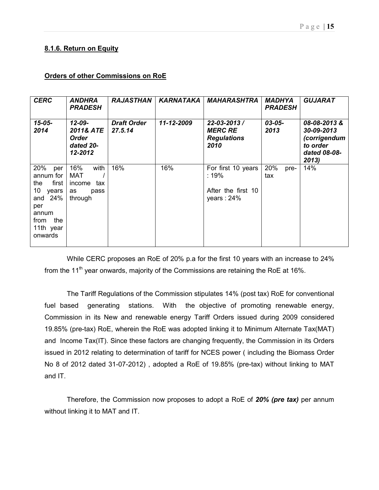## 8.1.6. Return on Equity

### Orders of other Commissions on RoE

| <b>CERC</b>                                                                                                                | <b>ANDHRA</b><br><b>PRADESH</b>                                     | <b>RAJASTHAN</b>              | KARNATAKA  | <b>MAHARASHTRA</b>                                                | <b>MADHYA</b><br><b>PRADESH</b> | <b>GUJARAT</b>                                                                 |
|----------------------------------------------------------------------------------------------------------------------------|---------------------------------------------------------------------|-------------------------------|------------|-------------------------------------------------------------------|---------------------------------|--------------------------------------------------------------------------------|
| $15 - 05 -$<br>2014                                                                                                        | $12 - 09 -$<br>2011& ATE<br><b>Order</b><br>dated 20-<br>12-2012    | <b>Draft Order</b><br>27.5.14 | 11-12-2009 | $22 - 03 - 2013/$<br><b>MERC RE</b><br><b>Regulations</b><br>2010 | 03-05-<br>2013                  | 08-08-2013&<br>30-09-2013<br>(corrigendum<br>to order<br>dated 08-08-<br>2013) |
| 20%<br>per<br>annum for<br>first<br>the<br>10<br>years<br>and $24%$<br>per<br>annum<br>the<br>from<br>11th year<br>onwards | 16%<br>with<br><b>MAT</b><br>income<br>tax<br>as<br>pass<br>through | 16%                           | 16%        | For first 10 years<br>:19%<br>After the first 10<br>years: 24%    | 20%<br>pre-<br>tax              | 14%                                                                            |

While CERC proposes an RoE of 20% p.a for the first 10 years with an increase to 24% from the 11<sup>th</sup> year onwards, majority of the Commissions are retaining the RoE at 16%.

The Tariff Regulations of the Commission stipulates 14% (post tax) RoE for conventional fuel based generating stations. With the objective of promoting renewable energy, Commission in its New and renewable energy Tariff Orders issued during 2009 considered 19.85% (pre-tax) RoE, wherein the RoE was adopted linking it to Minimum Alternate Tax(MAT) and Income Tax(IT). Since these factors are changing frequently, the Commission in its Orders issued in 2012 relating to determination of tariff for NCES power ( including the Biomass Order No 8 of 2012 dated 31-07-2012) , adopted a RoE of 19.85% (pre-tax) without linking to MAT and IT.

Therefore, the Commission now proposes to adopt a RoE of 20% (pre tax) per annum without linking it to MAT and IT.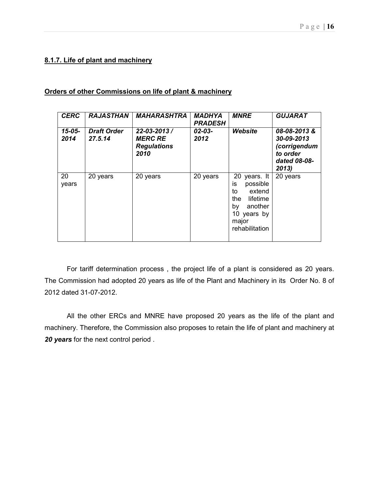## 8.1.7. Life of plant and machinery

## Orders of other Commissions on life of plant & machinery

| <b>CERC</b>         | <b>RAJASTHAN</b>              | <b>MAHARASHTRA</b>                                                | <b>MADHYA</b><br><b>PRADESH</b> | <b>MNRE</b>                                                                                                                   | <b>GUJARAT</b>                                                                  |
|---------------------|-------------------------------|-------------------------------------------------------------------|---------------------------------|-------------------------------------------------------------------------------------------------------------------------------|---------------------------------------------------------------------------------|
| $15 - 05 -$<br>2014 | <b>Draft Order</b><br>27.5.14 | $22 - 03 - 2013/$<br><b>MERC RE</b><br><b>Regulations</b><br>2010 | $02 - 03 -$<br>2012             | Website                                                                                                                       | 08-08-2013 &<br>30-09-2013<br>(corrigendum<br>to order<br>dated 08-08-<br>2013) |
| 20<br>years         | 20 years                      | 20 years                                                          | 20 years                        | 20 years. It<br>possible<br>İS.<br>extend<br>to<br>the<br>lifetime<br>another<br>by<br>10 years by<br>major<br>rehabilitation | 20 years                                                                        |

For tariff determination process , the project life of a plant is considered as 20 years. The Commission had adopted 20 years as life of the Plant and Machinery in its Order No. 8 of 2012 dated 31-07-2012.

All the other ERCs and MNRE have proposed 20 years as the life of the plant and machinery. Therefore, the Commission also proposes to retain the life of plant and machinery at 20 years for the next control period.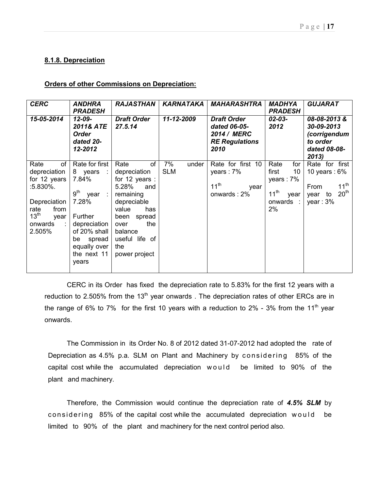## 8.1.8. Depreciation

### Orders of other Commissions on Depreciation:

| <b>CERC</b>                                                                                                                                   | <b>ANDHRA</b><br><b>PRADESH</b>                                                                                                                                                   | <b>RAJASTHAN</b>                                                                                                                                                                            | <b>KARNATAKA</b>          | <b>MAHARASHTRA</b>                                                                 | <b>MADHYA</b><br><b>PRADESH</b>                                                     | <b>GUJARAT</b>                                                                                          |
|-----------------------------------------------------------------------------------------------------------------------------------------------|-----------------------------------------------------------------------------------------------------------------------------------------------------------------------------------|---------------------------------------------------------------------------------------------------------------------------------------------------------------------------------------------|---------------------------|------------------------------------------------------------------------------------|-------------------------------------------------------------------------------------|---------------------------------------------------------------------------------------------------------|
| 15-05-2014                                                                                                                                    | 12-09-<br>2011& ATE<br>Order<br>dated 20-<br>12-2012                                                                                                                              | <b>Draft Order</b><br>27.5.14                                                                                                                                                               | 11-12-2009                | <b>Draft Order</b><br>dated 06-05-<br>2014 / MERC<br><b>RE Regulations</b><br>2010 | $02 - 03 -$<br>2012                                                                 | 08-08-2013&<br>30-09-2013<br>(corrigendum<br>to order<br>dated 08-08-<br>2013                           |
| of<br>Rate<br>depreciation<br>for 12 years<br>:5.830%.<br>Depreciation<br>from<br>rate<br>13 <sup>th</sup><br>year<br>onwards<br>÷.<br>2.505% | Rate for first<br>8 years<br>- 11<br>7.84%<br>9 <sup>th</sup><br>year<br>7.28%<br>Further<br>depreciation<br>of 20% shall<br>spread<br>be<br>equally over<br>the next 11<br>years | of<br>Rate<br>depreciation<br>for 12 years :<br>5.28%<br>and<br>remaining<br>depreciable<br>value<br>has<br>been spread<br>the<br>over<br>balance<br>useful life of<br>the<br>power project | 7%<br>under<br><b>SLM</b> | Rate for first 10<br>years: 7%<br>$11^{th}$<br>year<br>onwards: 2%                 | Rate<br>for<br>10<br>first<br>years : $7\%$<br>$11^{th}$<br>year<br>onwards :<br>2% | Rate for first<br>10 years : $6\%$<br>$11^{th}$<br>From<br>20 <sup>th</sup><br>to<br>year<br>year: $3%$ |

CERC in its Order has fixed the depreciation rate to 5.83% for the first 12 years with a reduction to 2.505% from the 13<sup>th</sup> year onwards. The depreciation rates of other ERCs are in the range of 6% to 7% for the first 10 years with a reduction to 2% - 3% from the 11<sup>th</sup> year onwards.

The Commission in its Order No. 8 of 2012 dated 31-07-2012 had adopted the rate of Depreciation as 4.5% p.a. SLM on Plant and Machinery by considering 85% of the capital cost while the accumulated depreciation would be limited to 90% of the plant and machinery.

Therefore, the Commission would continue the depreciation rate of 4.5% SLM by considering 85% of the capital cost while the accumulated depreciation would be limited to 90% of the plant and machinery for the next control period also.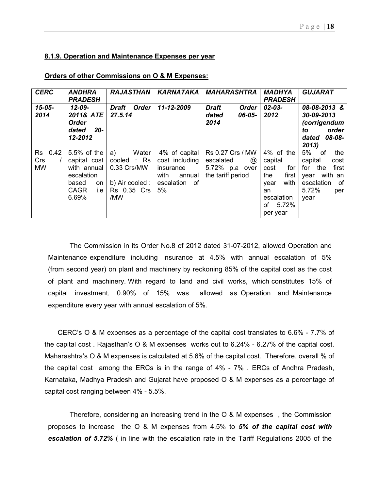### 8.1.9. Operation and Maintenance Expenses per year

| <b>CERC</b>                           | <b>ANDHRA</b><br><b>PRADESH</b>                                                                        | <b>RAJASTHAN</b>                                                                   | KARNATAKA                                                                                | <b>MAHARASHTRA</b>                                                        | <b>MADHYA</b><br><b>PRADESH</b>                                                                                 | <b>GUJARAT</b>                                                                                                           |
|---------------------------------------|--------------------------------------------------------------------------------------------------------|------------------------------------------------------------------------------------|------------------------------------------------------------------------------------------|---------------------------------------------------------------------------|-----------------------------------------------------------------------------------------------------------------|--------------------------------------------------------------------------------------------------------------------------|
| $15 - 05 -$<br>2014                   | $12 - 09 -$<br>2011& ATE<br><b>Order</b><br>$20-$<br>dated<br>12-2012                                  | Draft<br><b>Order</b><br>27.5.14                                                   | 11-12-2009                                                                               | <b>Draft</b><br><b>Order</b><br>06-05-<br>dated<br>2014                   | 02-03-<br>2012                                                                                                  | 08-08-2013 &<br>30-09-2013<br>(corrigendum<br>order<br>to<br>08-08-<br>dated<br>2013                                     |
| 0.42<br>Rs<br><b>Crs</b><br><b>MW</b> | 5.5% of the<br>capital cost<br>with annual<br>escalation<br>based<br>on<br><b>CAGR</b><br>i.e<br>6.69% | a)<br>Water<br>cooled : Rs<br>0.33 Crs/MW<br>b) Air cooled :<br>Rs 0.35 Crs<br>/MW | 4% of capital<br>cost including<br>insurance<br>with<br>annual<br>escalation<br>of<br>5% | Rs 0.27 Crs / MW<br>escalated<br>@<br>5.72% p.a over<br>the tariff period | 4% of the<br>capital<br>for<br>cost<br>the<br>first<br>with<br>year<br>an<br>escalation<br>of 5.72%<br>per year | 5%<br>the<br>of<br>capital<br>cost<br>for<br>the<br>first<br>with an<br>year<br>0f<br>escalation<br>5.72%<br>per<br>year |

### Orders of other Commissions on O & M Expenses:

The Commission in its Order No.8 of 2012 dated 31-07-2012, allowed Operation and Maintenance expenditure including insurance at 4.5% with annual escalation of 5% (from second year) on plant and machinery by reckoning 85% of the capital cost as the cost of plant and machinery. With regard to land and civil works, which constitutes 15% of capital investment, 0.90% of 15% was allowed as Operation and Maintenance expenditure every year with annual escalation of 5%.

 CERC's O & M expenses as a percentage of the capital cost translates to 6.6% - 7.7% of the capital cost . Rajasthan's O & M expenses works out to 6.24% - 6.27% of the capital cost. Maharashtra's O & M expenses is calculated at 5.6% of the capital cost. Therefore, overall % of the capital cost among the ERCs is in the range of 4% - 7% . ERCs of Andhra Pradesh, Karnataka, Madhya Pradesh and Gujarat have proposed O & M expenses as a percentage of capital cost ranging between 4% - 5.5%.

Therefore, considering an increasing trend in the O & M expenses , the Commission proposes to increase the  $\overline{O}$  & M expenses from 4.5% to 5% of the capital cost with escalation of 5.72% ( in line with the escalation rate in the Tariff Regulations 2005 of the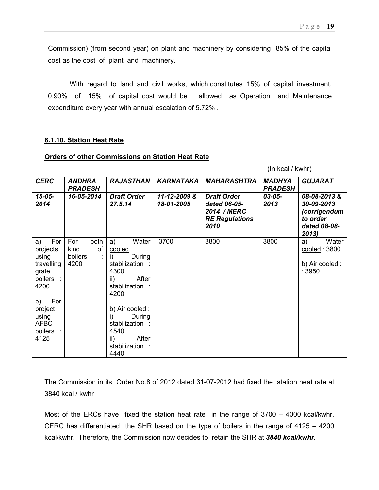Commission) (from second year) on plant and machinery by considering 85% of the capital cost as the cost of plant and machinery.

With regard to land and civil works, which constitutes 15% of capital investment, 0.90% of 15% of capital cost would be allowed as Operation and Maintenance expenditure every year with annual escalation of 5.72% .

### 8.1.10. Station Heat Rate

### Orders of other Commissions on Station Heat Rate

(In kcal / kwhr)

| <b>CERC</b>                                                                                                                                     | <b>ANDHRA</b><br><b>PRADESH</b>              | <b>RAJASTHAN</b>                                                                                                                                                                                                | <b>KARNATAKA</b>           | <b>MAHARASHTRA</b>                                                                 | <b>MADHYA</b><br><b>PRADESH</b> | <b>GUJARAT</b>                                                                 |
|-------------------------------------------------------------------------------------------------------------------------------------------------|----------------------------------------------|-----------------------------------------------------------------------------------------------------------------------------------------------------------------------------------------------------------------|----------------------------|------------------------------------------------------------------------------------|---------------------------------|--------------------------------------------------------------------------------|
| $15 - 05 -$<br>2014                                                                                                                             | 16-05-2014                                   | <b>Draft Order</b><br>27.5.14                                                                                                                                                                                   | 11-12-2009 &<br>18-01-2005 | <b>Draft Order</b><br>dated 06-05-<br>2014 / MERC<br><b>RE Regulations</b><br>2010 | 03-05-<br>2013                  | 08-08-2013&<br>30-09-2013<br>(corrigendum<br>to order<br>dated 08-08-<br>2013) |
| For<br>a)<br>projects<br>using<br>travelling<br>grate<br>boilers :<br>4200<br>b)<br>For<br>project<br>using<br><b>AFBC</b><br>boilers :<br>4125 | For<br>both<br>οf<br>kind<br>boilers<br>4200 | a)<br>Water<br>cooled<br>During<br>i)<br>stabilization:<br>4300<br>After<br>ii)<br>stabilization:<br>4200<br>b) Air cooled:<br>During<br>i)<br>stabilization:<br>4540<br>After<br>ii)<br>stabilization:<br>4440 | 3700                       | 3800                                                                               | 3800                            | Water<br>a)<br>cooled: 3800<br>b) Air cooled:<br>:3950                         |

The Commission in its Order No.8 of 2012 dated 31-07-2012 had fixed the station heat rate at 3840 kcal / kwhr

Most of the ERCs have fixed the station heat rate in the range of 3700 – 4000 kcal/kwhr. CERC has differentiated the SHR based on the type of boilers in the range of 4125 – 4200 kcal/kwhr. Therefore, the Commission now decides to retain the SHR at 3840 kcal/kwhr.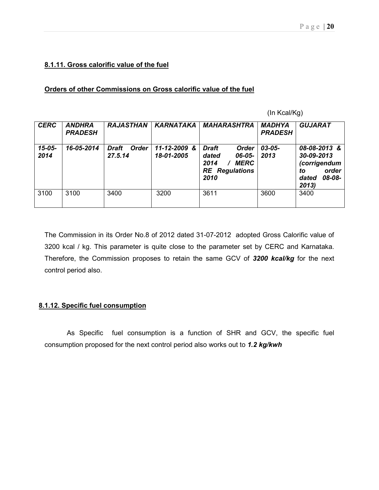## 8.1.11. Gross calorific value of the fuel

### Orders of other Commissions on Gross calorific value of the fuel

(In Kcal/Kg)

| <b>CERC</b>         | <b>ANDHRA</b><br><b>PRADESH</b> | <b>RAJASTHAN</b>                        | <b>KARNATAKA</b>               | <b>MAHARASHTRA</b>                                                                                      | <b>MADHYA</b><br><b>PRADESH</b> | <b>GUJARAT</b>                                                                       |
|---------------------|---------------------------------|-----------------------------------------|--------------------------------|---------------------------------------------------------------------------------------------------------|---------------------------------|--------------------------------------------------------------------------------------|
| $15 - 05 -$<br>2014 | 16-05-2014                      | <b>Order</b><br><b>Draft</b><br>27.5.14 | 11-12-2009<br>-&<br>18-01-2005 | <b>Draft</b><br><b>Order</b><br>dated<br>06-05-<br><b>MERC</b><br>2014<br><b>RE</b> Regulations<br>2010 | $03 - 05 -$<br>2013             | 08-08-2013 &<br>30-09-2013<br>(corrigendum<br>order<br>to<br>08-08-<br>dated<br>2013 |
| 3100                | 3100                            | 3400                                    | 3200                           | 3611                                                                                                    | 3600                            | 3400                                                                                 |

The Commission in its Order No.8 of 2012 dated 31-07-2012 adopted Gross Calorific value of 3200 kcal / kg. This parameter is quite close to the parameter set by CERC and Karnataka. Therefore, the Commission proposes to retain the same GCV of 3200 kcal/kg for the next control period also.

### 8.1.12. Specific fuel consumption

As Specific fuel consumption is a function of SHR and GCV, the specific fuel consumption proposed for the next control period also works out to 1.2 kg/kwh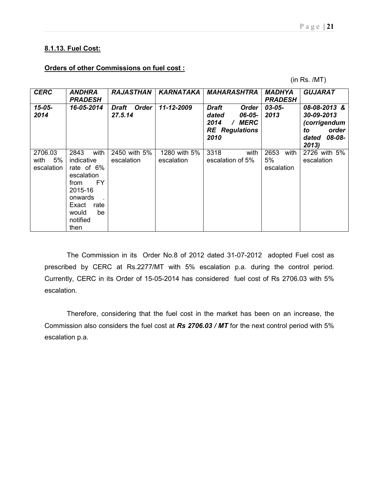# 8.1.13. Fuel Cost:

## Orders of other Commissions on fuel cost :

(in Rs. /MT)

| <b>CERC</b>                         | ANDHRA<br><b>PRADESH</b>                                                                                                                       | <b>RAJASTHAN</b>           | <b>KARNATAKA</b>           | <b>MAHARASHTRA</b>                                                                               | MADHYA<br><b>PRADESH</b>         | <b>GUJARAT</b>                                                                       |
|-------------------------------------|------------------------------------------------------------------------------------------------------------------------------------------------|----------------------------|----------------------------|--------------------------------------------------------------------------------------------------|----------------------------------|--------------------------------------------------------------------------------------|
| $15 - 05 -$<br>2014                 | 16-05-2014                                                                                                                                     | Draft<br>Order<br>27.5.14  | 11-12-2009                 | <b>Draft</b><br><b>Order</b><br>dated<br>06-05-<br>2014<br>MERC<br><b>RE</b> Regulations<br>2010 | 03-05-<br>2013                   | 08-08-2013 &<br>30-09-2013<br>(corrigendum<br>order<br>to<br>08-08-<br>dated<br>2013 |
| 2706.03<br>5%<br>with<br>escalation | with<br>2843<br>indicative<br>rate of 6%<br>escalation<br>FY<br>from<br>2015-16<br>onwards<br>Exact<br>rate<br>would<br>be<br>notified<br>then | 2450 with 5%<br>escalation | 1280 with 5%<br>escalation | with<br>3318<br>escalation of 5%                                                                 | 2653<br>with<br>5%<br>escalation | 2726 with 5%<br>escalation                                                           |

The Commission in its Order No.8 of 2012 dated 31-07-2012 adopted Fuel cost as prescribed by CERC at Rs.2277/MT with 5% escalation p.a. during the control period. Currently, CERC in its Order of 15-05-2014 has considered fuel cost of Rs 2706.03 with 5% escalation.

Therefore, considering that the fuel cost in the market has been on an increase, the Commission also considers the fuel cost at Rs 2706.03 / MT for the next control period with 5% escalation p.a.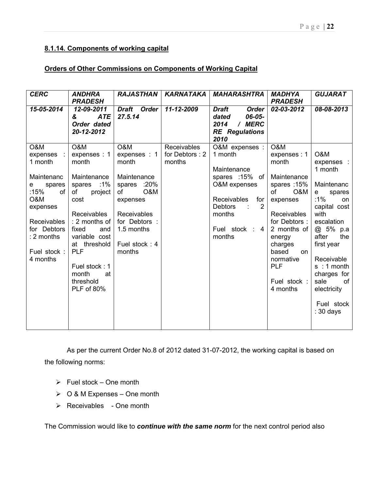# 8.1.14. Components of working capital

## Orders of Other Commissions on Components of Working Capital

| <b>CERC</b>                                                                                                                                                             | <b>ANDHRA</b><br><b>PRADESH</b>                                                                                                                                                                                                                        | <b>RAJASTHAN</b>                                                                                                                                             | <b>KARNATAKA</b>                        | <b>MAHARASHTRA</b>                                                                                                                                                   | <b>MADHYA</b><br><b>PRADESH</b>                                                                                                                                                                                                   | <b>GUJARAT</b>                                                                                                                                                                                                                                                 |
|-------------------------------------------------------------------------------------------------------------------------------------------------------------------------|--------------------------------------------------------------------------------------------------------------------------------------------------------------------------------------------------------------------------------------------------------|--------------------------------------------------------------------------------------------------------------------------------------------------------------|-----------------------------------------|----------------------------------------------------------------------------------------------------------------------------------------------------------------------|-----------------------------------------------------------------------------------------------------------------------------------------------------------------------------------------------------------------------------------|----------------------------------------------------------------------------------------------------------------------------------------------------------------------------------------------------------------------------------------------------------------|
| 15-05-2014                                                                                                                                                              | 12-09-2011<br>&<br><b>ATE</b><br>Order dated<br>20-12-2012                                                                                                                                                                                             | Draft Order<br>27.5.14                                                                                                                                       | 11-12-2009                              | <b>Draft</b><br><b>Order</b><br>06-05-<br>dated<br>2014<br>/ MERC<br><b>RE</b> Regulations<br>2010                                                                   | 02-03-2012                                                                                                                                                                                                                        | 08-08-2013                                                                                                                                                                                                                                                     |
| O&M<br>expenses<br>- 11<br>1 month<br>Maintenanc<br>spares<br>е<br>:15%<br>of<br>O&M<br>expenses<br>Receivables<br>for Debtors<br>: 2 months<br>Fuel stock:<br>4 months | O&M<br>expenses : 1<br>month<br>Maintenance<br>:1%<br>spares<br>of<br>project<br>cost<br>Receivables<br>: 2 months of<br>fixed<br>and<br>variable cost<br>at threshold<br><b>PLF</b><br>Fuel stock: 1<br>month<br>at<br>threshold<br><b>PLF</b> of 80% | O&M<br>expenses : 1<br>month<br>Maintenance<br>spares :20%<br>O&M<br>of<br>expenses<br>Receivables<br>for Debtors :<br>1.5 months<br>Fuel stock: 4<br>months | Receivables<br>for Debtors: 2<br>months | O&M expenses :<br>1 month<br>Maintenance<br>spares :15% of<br>O&M expenses<br><b>Receivables</b><br>for<br>2<br><b>Debtors</b><br>months<br>Fuel stock : 4<br>months | O&M<br>expenses: 1<br>month<br>Maintenance<br>spares: 15%<br><b>of</b><br>O&M<br>expenses<br>Receivables<br>for Debtors:<br>2 months of<br>energy<br>charges<br>based<br>on<br>normative<br><b>PLF</b><br>Fuel stock:<br>4 months | O&M<br>expenses :<br>1 month<br>Maintenanc<br>spares<br>e<br>:1%<br>on<br>capital cost<br>with<br>escalation<br>@ 5% p.a<br>after<br>the<br>first year<br>Receivable<br>$s : 1$ month<br>charges for<br>sale<br>0f<br>electricity<br>Fuel stock<br>$: 30$ days |

As per the current Order No.8 of 2012 dated 31-07-2012, the working capital is based on the following norms:

- $\triangleright$  Fuel stock One month
- $\geqslant$  O & M Expenses One month
- $\triangleright$  Receivables One month

The Commission would like to continue with the same norm for the next control period also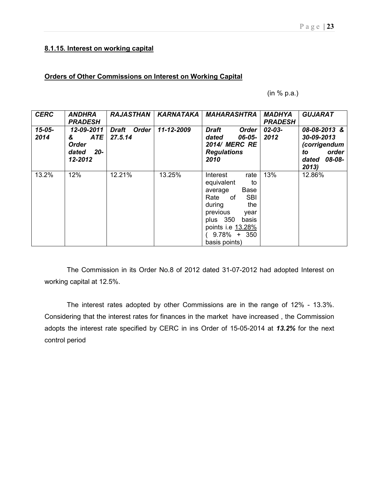# 8.1.15. Interest on working capital

## Orders of Other Commissions on Interest on Working Capital

(in % p.a.)

| <b>CERC</b>         | <b>ANDHRA</b><br><b>PRADESH</b>                                   | <b>RAJASTHAN</b>                        | KARNATAKA  | <b>MAHARASHTRA</b>                                                                                                                                                                                    | <b>MADHYA</b><br><b>PRADESH</b> | <b>GUJARAT</b>                                                                       |
|---------------------|-------------------------------------------------------------------|-----------------------------------------|------------|-------------------------------------------------------------------------------------------------------------------------------------------------------------------------------------------------------|---------------------------------|--------------------------------------------------------------------------------------|
| $15 - 05 -$<br>2014 | 12-09-2011<br><b>ATE</b><br>&<br>Order<br>-20<br>dated<br>12-2012 | <b>Order</b><br><b>Draft</b><br>27.5.14 | 11-12-2009 | <b>Draft</b><br><b>Order</b><br>06-05-<br>dated<br><b>2014/ MERC RE</b><br><b>Regulations</b><br>2010                                                                                                 | $02 - 03 -$<br>2012             | 08-08-2013 &<br>30-09-2013<br>(corrigendum<br>order<br>to<br>08-08-<br>dated<br>2013 |
| 13.2%               | 12%                                                               | 12.21%                                  | 13.25%     | Interest<br>rate<br>equivalent<br>to<br>Base<br>average<br><b>SBI</b><br>Rate<br>of<br>during<br>the<br>previous<br>year<br>plus 350<br>basis<br>points i.e 13.28%<br>$9.78\% + 350$<br>basis points) | 13%                             | 12.86%                                                                               |

The Commission in its Order No.8 of 2012 dated 31-07-2012 had adopted Interest on working capital at 12.5%.

The interest rates adopted by other Commissions are in the range of 12% - 13.3%. Considering that the interest rates for finances in the market have increased , the Commission adopts the interest rate specified by CERC in ins Order of 15-05-2014 at 13.2% for the next control period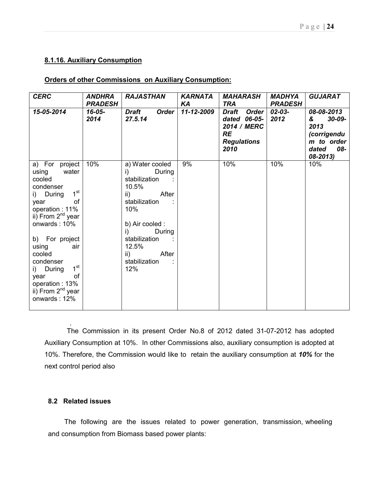## 8.1.16. Auxiliary Consumption

## Orders of other Commissions on Auxiliary Consumption:

| <b>CERC</b>                                                                                                                                                                                                                                                                                                                                        | <b>ANDHRA</b><br><b>PRADESH</b> | <b>RAJASTHAN</b>                                                                                                                                                                                                 | <b>KARNATA</b><br>KA | MAHARASH<br><b>TRA</b>                                                                          | <b>MADHYA</b><br><b>PRADESH</b> | <b>GUJARAT</b>                                                                                  |
|----------------------------------------------------------------------------------------------------------------------------------------------------------------------------------------------------------------------------------------------------------------------------------------------------------------------------------------------------|---------------------------------|------------------------------------------------------------------------------------------------------------------------------------------------------------------------------------------------------------------|----------------------|-------------------------------------------------------------------------------------------------|---------------------------------|-------------------------------------------------------------------------------------------------|
| 15-05-2014                                                                                                                                                                                                                                                                                                                                         | $16 - 05 -$<br>2014             | <b>Draft</b><br><b>Order</b><br>27.5.14                                                                                                                                                                          | 11-12-2009           | <b>Order</b><br>Draft<br>dated 06-05-<br>2014 / MERC<br><b>RE</b><br><b>Regulations</b><br>2010 | 02-03-<br>2012                  | 08-08-2013<br>$30 - 09 -$<br>&<br>2013<br>(corrigendu<br>m to order<br>08-<br>dated<br>08-2013) |
| a) For project<br>water<br>using<br>cooled<br>condenser<br>1 <sup>st</sup><br>i) During<br>of<br>year<br>operation: 11%<br>ii) From 2 <sup>nd</sup> year<br>onwards: 10%<br>b) For project<br>using<br>air<br>cooled<br>condenser<br>1 <sup>st</sup><br>i) During<br>οf<br>year<br>operation: 13%<br>ii) From 2 <sup>nd</sup> year<br>onwards: 12% | 10%                             | a) Water cooled<br>During<br>i)<br>stabilization<br>10.5%<br>After<br>$\mathsf{ii}$<br>stabilization<br>10%<br>b) Air cooled :<br>During<br>i)<br>stabilization<br>12.5%<br>After<br>ii)<br>stabilization<br>12% | 9%                   | 10%                                                                                             | 10%                             | 10%                                                                                             |

The Commission in its present Order No.8 of 2012 dated 31-07-2012 has adopted Auxiliary Consumption at 10%. In other Commissions also, auxiliary consumption is adopted at 10%. Therefore, the Commission would like to retain the auxiliary consumption at 10% for the next control period also

## 8.2 Related issues

.

The following are the issues related to power generation, transmission, wheeling and consumption from Biomass based power plants: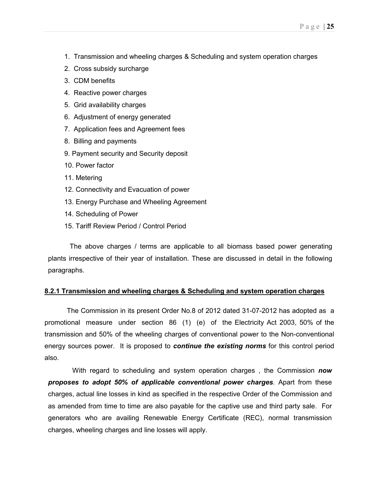- 1. Transmission and wheeling charges & Scheduling and system operation charges
- 2. Cross subsidy surcharge
- 3. CDM benefits
- 4. Reactive power charges
- 5. Grid availability charges
- 6. Adjustment of energy generated
- 7. Application fees and Agreement fees
- 8. Billing and payments
- 9. Payment security and Security deposit
- 10. Power factor
- 11. Metering
- 12. Connectivity and Evacuation of power
- 13. Energy Purchase and Wheeling Agreement
- 14. Scheduling of Power
- 15. Tariff Review Period / Control Period

The above charges / terms are applicable to all biomass based power generating plants irrespective of their year of installation. These are discussed in detail in the following paragraphs.

### 8.2.1 Transmission and wheeling charges & Scheduling and system operation charges

The Commission in its present Order No.8 of 2012 dated 31-07-2012 has adopted as a promotional measure under section 86 (1) (e) of the Electricity Act 2003, 50% of the transmission and 50% of the wheeling charges of conventional power to the Non-conventional energy sources power. It is proposed to **continue the existing norms** for this control period also.

With regard to scheduling and system operation charges, the Commission now proposes to adopt 50% of applicable conventional power charges. Apart from these charges, actual line losses in kind as specified in the respective Order of the Commission and as amended from time to time are also payable for the captive use and third party sale. For generators who are availing Renewable Energy Certificate (REC), normal transmission charges, wheeling charges and line losses will apply.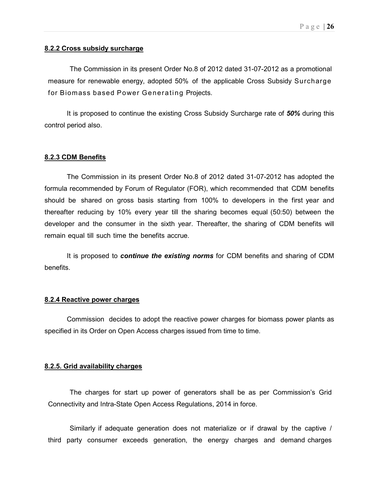## 8.2.2 Cross subsidy surcharge

The Commission in its present Order No.8 of 2012 dated 31-07-2012 as a promotional measure for renewable energy, adopted 50% of the applicable Cross Subsidy Surcharge for Biomass based Power Generating Projects.

It is proposed to continue the existing Cross Subsidy Surcharge rate of 50% during this control period also.

#### 8.2.3 CDM Benefits

The Commission in its present Order No.8 of 2012 dated 31-07-2012 has adopted the formula recommended by Forum of Regulator (FOR), which recommended that CDM benefits should be shared on gross basis starting from 100% to developers in the first year and thereafter reducing by 10% every year till the sharing becomes equal (50:50) between the developer and the consumer in the sixth year. Thereafter, the sharing of CDM benefits will remain equal till such time the benefits accrue.

It is proposed to **continue the existing norms** for CDM benefits and sharing of CDM benefits.

### 8.2.4 Reactive power charges

Commission decides to adopt the reactive power charges for biomass power plants as specified in its Order on Open Access charges issued from time to time.

#### 8.2.5. Grid availability charges

The charges for start up power of generators shall be as per Commission's Grid Connectivity and Intra-State Open Access Regulations, 2014 in force.

Similarly if adequate generation does not materialize or if drawal by the captive / third party consumer exceeds generation, the energy charges and demand charges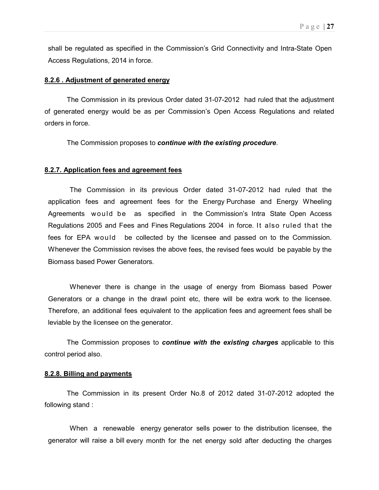shall be regulated as specified in the Commission's Grid Connectivity and Intra-State Open Access Regulations, 2014 in force.

#### 8.2.6 . Adjustment of generated energy

The Commission in its previous Order dated 31-07-2012 had ruled that the adjustment of generated energy would be as per Commission's Open Access Regulations and related orders in force.

The Commission proposes to continue with the existing procedure.

### 8.2.7. Application fees and agreement fees

The Commission in its previous Order dated 31-07-2012 had ruled that the application fees and agreement fees for the Energy Purchase and Energy Wheeling Agreements would be as specified in the Commission's Intra State Open Access Regulations 2005 and Fees and Fines Regulations 2004 in force. It also ruled that the fees for EPA would be collected by the licensee and passed on to the Commission. Whenever the Commission revises the above fees, the revised fees would be payable by the Biomass based Power Generators.

Whenever there is change in the usage of energy from Biomass based Power Generators or a change in the drawl point etc, there will be extra work to the licensee. Therefore, an additional fees equivalent to the application fees and agreement fees shall be leviable by the licensee on the generator.

The Commission proposes to **continue with the existing charges** applicable to this control period also.

#### 8.2.8. Billing and payments

The Commission in its present Order No.8 of 2012 dated 31-07-2012 adopted the following stand :

When a renewable energy generator sells power to the distribution licensee, the generator will raise a bill every month for the net energy sold after deducting the charges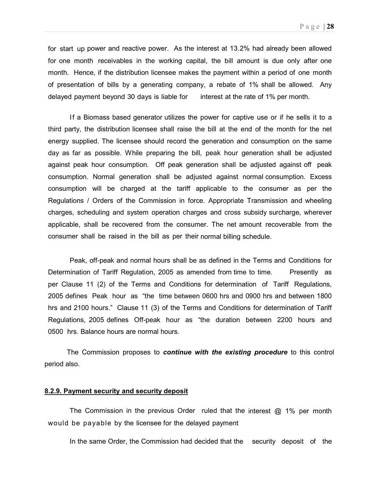for start up power and reactive power. As the interest at 13.2% had already been allowed for one month receivables in the working capital, the bill amount is due only after one month. Hence, if the distribution licensee makes the payment within a period of one month of presentation of bills by a generating company, a rebate of 1% shall be allowed. Any delayed payment beyond 30 days is liable for interest at the rate of 1% per month.

If a Biomass based generator utilizes the power for captive use or if he sells it to a third party, the distribution licensee shall raise the bill at the end of the month for the net energy supplied. The licensee should record the generation and consumption on the same day as far as possible. While preparing the bill, peak hour generation shall be adjusted against peak hour consumption. Off peak generation shall be adjusted against off peak consumption. Normal generation shall be adjusted against normal consumption. Excess consumption will be charged at the tariff applicable to the consumer as per the Regulations / Orders of the Commission in force. Appropriate Transmission and wheeling charges, scheduling and system operation charges and cross subsidy surcharge, wherever applicable, shall be recovered from the consumer. The net amount recoverable from the consumer shall be raised in the bill as per their normal billing schedule.

Peak, off-peak and normal hours shall be as defined in the Terms and Conditions for Determination of Tariff Regulation, 2005 as amended from time to time. Presently as per Clause 11 (2) of the Terms and Conditions for determination of Tariff Regulations, 2005 defines Peak hour as "the time between 0600 hrs and 0900 hrs and between 1800 hrs and 2100 hours." Clause 11 (3) of the Terms and Conditions for determination of Tariff Regulations, 2005 defines Off-peak hour as "the duration between 2200 hours and 0500 hrs. Balance hours are normal hours.

The Commission proposes to **continue with the existing procedure** to this control period also.

### 8.2.9. Payment security and security deposit

The Commission in the previous Order ruled that the interest  $@$  1% per month would be payable by the licensee for the delayed payment

In the same Order, the Commission had decided that the security deposit of the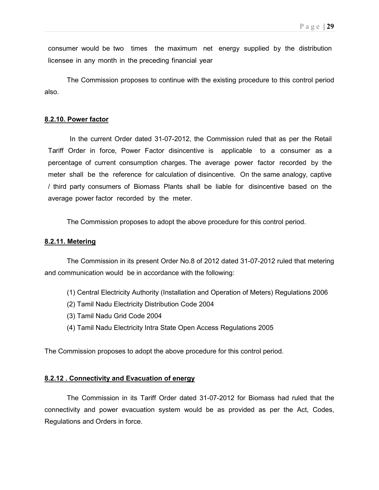consumer would be two times the maximum net energy supplied by the distribution licensee in any month in the preceding financial year

The Commission proposes to continue with the existing procedure to this control period also.

#### 8.2.10. Power factor

In the current Order dated 31-07-2012, the Commission ruled that as per the Retail Tariff Order in force, Power Factor disincentive is applicable to a consumer as a percentage of current consumption charges. The average power factor recorded by the meter shall be the reference for calculation of disincentive. On the same analogy, captive / third party consumers of Biomass Plants shall be liable for disincentive based on the average power factor recorded by the meter.

The Commission proposes to adopt the above procedure for this control period.

#### 8.2.11. Metering

The Commission in its present Order No.8 of 2012 dated 31-07-2012 ruled that metering and communication would be in accordance with the following:

- (1) Central Electricity Authority (Installation and Operation of Meters) Regulations 2006
- (2) Tamil Nadu Electricity Distribution Code 2004
- (3) Tamil Nadu Grid Code 2004
- (4) Tamil Nadu Electricity Intra State Open Access Regulations 2005

The Commission proposes to adopt the above procedure for this control period.

### 8.2.12 . Connectivity and Evacuation of energy

The Commission in its Tariff Order dated 31-07-2012 for Biomass had ruled that the connectivity and power evacuation system would be as provided as per the Act, Codes, Regulations and Orders in force.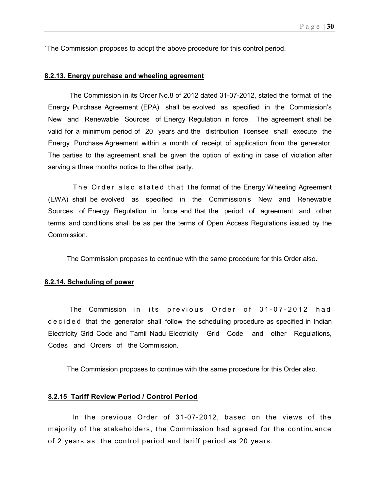`The Commission proposes to adopt the above procedure for this control period.

### 8.2.13. Energy purchase and wheeling agreement

The Commission in its Order No.8 of 2012 dated 31-07-2012, stated the format of the Energy Purchase Agreement (EPA) shall be evolved as specified in the Commission's New and Renewable Sources of Energy Regulation in force. The agreement shall be valid for a minimum period of 20 years and the distribution licensee shall execute the Energy Purchase Agreement within a month of receipt of application from the generator. The parties to the agreement shall be given the option of exiting in case of violation after serving a three months notice to the other party.

The Order also stated that the format of the Energy Wheeling Agreement (EWA) shall be evolved as specified in the Commission's New and Renewable Sources of Energy Regulation in force and that the period of agreement and other terms and conditions shall be as per the terms of Open Access Regulations issued by the Commission.

The Commission proposes to continue with the same procedure for this Order also.

### 8.2.14. Scheduling of power

The Commission in its previous Order of 31-07-2012 had d e c i d e d that the generator shall follow the scheduling procedure as specified in Indian Electricity Grid Code and Tamil Nadu Electricity Grid Code and other Regulations, Codes and Orders of the Commission.

The Commission proposes to continue with the same procedure for this Order also.

#### 8.2.15 Tariff Review Period / Control Period

 In the previous Order of 31-07-2012, based on the views of the majority of the stakeholders, the Commission had agreed for the continuance of 2 years as the control period and tariff period as 20 years.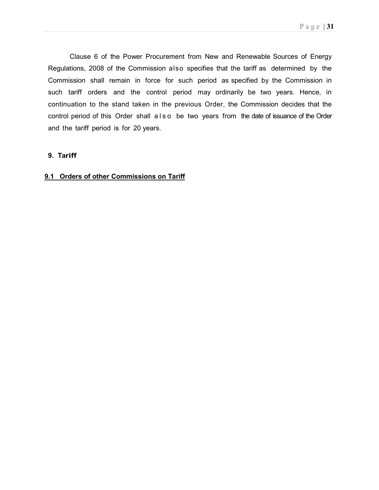Clause 6 of the Power Procurement from New and Renewable Sources of Energy Regulations, 2008 of the Commission also specifies that the tariff as determined by the Commission shall remain in force for such period as specified by the Commission in such tariff orders and the control period may ordinarily be two years. Hence, in continuation to the stand taken in the previous Order, the Commission decides that the control period of this Order shall a l s o be two years from the date of issuance of the Order and the tariff period is for 20 years.

## 9. Tariff

## 9.1 Orders of other Commissions on Tariff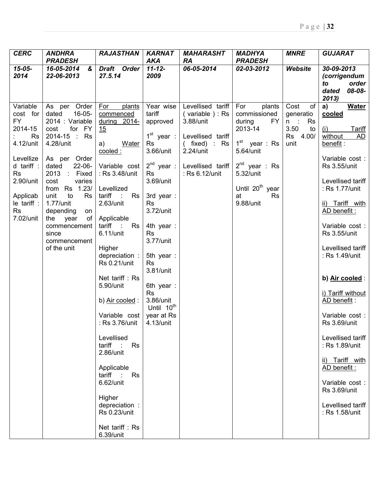| <b>CERC</b>                                                                                                                                                               | <b>ANDHRA</b>                                                                                                                                                                                                                                                                                                                                         | <b>RAJASTHAN</b><br><b>PRADESH</b>                                                                                                                                                                                                                                                                                                                                                                                                                                                                                                                                                  |                                                                                                                                                                                                                                                                                                                            | <b>MAHARASHT</b><br><b>RA</b>                                                                                                                   | <b>MADHYA</b><br><b>PRADESH</b>                                                                                                                                                            | <b>MNRE</b>                                                           | <b>GUJARAT</b>                                                                                                                                                                                                                                                                                                                                                                                                                                                                                                                               |
|---------------------------------------------------------------------------------------------------------------------------------------------------------------------------|-------------------------------------------------------------------------------------------------------------------------------------------------------------------------------------------------------------------------------------------------------------------------------------------------------------------------------------------------------|-------------------------------------------------------------------------------------------------------------------------------------------------------------------------------------------------------------------------------------------------------------------------------------------------------------------------------------------------------------------------------------------------------------------------------------------------------------------------------------------------------------------------------------------------------------------------------------|----------------------------------------------------------------------------------------------------------------------------------------------------------------------------------------------------------------------------------------------------------------------------------------------------------------------------|-------------------------------------------------------------------------------------------------------------------------------------------------|--------------------------------------------------------------------------------------------------------------------------------------------------------------------------------------------|-----------------------------------------------------------------------|----------------------------------------------------------------------------------------------------------------------------------------------------------------------------------------------------------------------------------------------------------------------------------------------------------------------------------------------------------------------------------------------------------------------------------------------------------------------------------------------------------------------------------------------|
| $15 - 05 -$<br>2014                                                                                                                                                       | 16-05-2014<br>$\boldsymbol{\alpha}$<br>22-06-2013                                                                                                                                                                                                                                                                                                     | Draft Order<br>27.5.14                                                                                                                                                                                                                                                                                                                                                                                                                                                                                                                                                              | <b>AKA</b><br>$11 - 12 -$<br>2009                                                                                                                                                                                                                                                                                          | 06-05-2014                                                                                                                                      | 02-03-2012                                                                                                                                                                                 | Website                                                               | 30-09-2013<br>(corrigendum                                                                                                                                                                                                                                                                                                                                                                                                                                                                                                                   |
|                                                                                                                                                                           |                                                                                                                                                                                                                                                                                                                                                       |                                                                                                                                                                                                                                                                                                                                                                                                                                                                                                                                                                                     |                                                                                                                                                                                                                                                                                                                            |                                                                                                                                                 |                                                                                                                                                                                            |                                                                       | order<br>to<br>08-08-<br>dated<br>2013)                                                                                                                                                                                                                                                                                                                                                                                                                                                                                                      |
| Variable<br>cost for<br>FY<br>2014-15<br><b>Rs</b><br>4.12/unit<br>Levellize<br>d tariff :<br><b>Rs</b><br>2.90/unit<br>Applicab<br>le tariff :<br><b>Rs</b><br>7.02/unit | As per Order<br>$16-05-$<br>dated<br>2014 : Variable<br>for FY<br>cost<br>2014-15 : Rs<br>4.28/unit<br>As per Order<br>$22-06-$<br>dated<br>2013<br>$\sim 10^{-1}$<br>Fixed<br>varies<br>cost<br>from Rs 1.23/<br>unit<br>to<br><b>Rs</b><br>1.77/unit<br>depending<br>on<br>the year<br>of I<br>commencement<br>since<br>commencement<br>of the unit | For<br>plants<br>commenced<br>during 2014-<br>15<br>a)<br><b>Water</b><br>cooled:<br>Variable cost<br>: Rs 3.48/unit<br>Levellized<br>tariff<br>$\sim 10^{-1}$<br>Rs<br>$2.63$ /unit<br>Applicable<br>tariff<br>$\sim 100$<br><b>Rs</b><br>6.11/unit<br>Higher<br>depreciation :<br><b>Rs 0.21/unit</b><br>Net tariff: Rs<br>5.90/unit<br>b) Air cooled:<br>Variable cost<br>: Rs 3.76/unit<br>Levellised<br>Rs<br>tariff<br>$\sim 200$<br>2.86/unit<br>Applicable<br>tariff :<br>Rs<br>6.62/unit<br>Higher<br>depreciation :<br><b>Rs 0.23/unit</b><br>Net tariff: Rs<br>6.39/unit | Year wise<br>tariff<br>approved<br>$1st$ year :<br><b>Rs</b><br>3.66/unit<br>$2^{nd}$ year :<br>Rs<br>3.69/unit<br>3rd year:<br><b>Rs</b><br>3.72/unit<br>4th year:<br><b>Rs</b><br>3.77/unit<br>5th year:<br>Rs<br>3.81/unit<br>6th year :<br><b>Rs</b><br>3.86/unit<br>Until 10 <sup>th</sup><br>year at Rs<br>4.13/unit | Levellised tariff<br>(variable): Rs<br>3.88/unit<br>Levellised tariff<br>$($ fixed) : Rs<br>$2.24$ /unit<br>Levellised tariff<br>: Rs 6.12/unit | For<br>plants<br>commissioned<br>during<br>FY<br>2013-14<br>$1st$ year : Rs<br>5.64/unit<br>$2^{nd}$ year : Rs<br>5.32/unit<br>Until 20 <sup>th</sup> year<br><b>Rs</b><br>at<br>9.88/unit | Cost<br>0f<br>generatio<br>n:<br>Rs<br>3.50<br>to<br>Rs 4.00/<br>unit | <b>Water</b><br>a)<br>cooled<br><b>Tariff</b><br>(i)<br>AD<br>without<br>benefit:<br>Variable cost:<br><b>Rs 3.55/unit</b><br>Levellised tariff<br>: Rs 1.77/unit<br>ii) Tariff with<br>AD benefit:<br>Variable cost:<br><b>Rs 3.55/unit</b><br>Levellised tariff<br>: Rs 1.49/unit<br>b) Air cooled:<br>i) Tariff without<br>AD benefit:<br>Variable cost:<br><b>Rs 3.69/unit</b><br>Levellised tariff<br>: Rs 1.89/unit<br>ii) Tariff with<br>AD benefit:<br>Variable cost :<br><b>Rs 3.69/unit</b><br>Levellised tariff<br>: Rs 1.58/unit |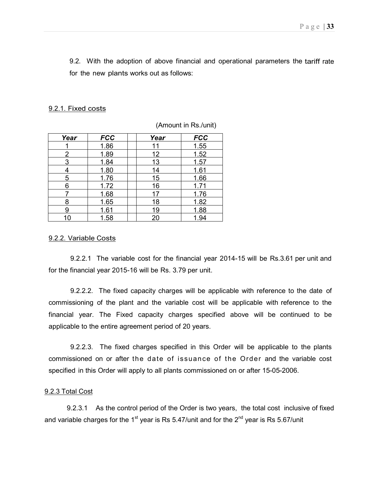9.2. With the adoption of above financial and operational parameters the tariff rate for the new plants works out as follows:

### 9.2.1. Fixed costs

| Year | <b>FCC</b> | Year | <b>FCC</b> |
|------|------------|------|------------|
|      | 1.86       | 11   | 1.55       |
|      | 1.89       | 12   | 1.52       |
| 3    | 1.84       | 13   | 1.57       |
|      | 1.80       | 14   | 1.61       |
| 5    | 1.76       | 15   | 1.66       |
| 6    | 1.72       | 16   | 1.71       |
|      | 1.68       | 17   | 1.76       |
| 8    | 1.65       | 18   | 1.82       |
| g    | 1.61       | 19   | 1.88       |
| 10   | 1.58       | 20   | 1.94       |

(Amount in Rs./unit)

### 9.2.2. Variable Costs

9.2.2.1 The variable cost for the financial year 2014-15 will be Rs.3.61 per unit and for the financial year 2015-16 will be Rs. 3.79 per unit.

9.2.2.2. The fixed capacity charges will be applicable with reference to the date of commissioning of the plant and the variable cost will be applicable with reference to the financial year. The Fixed capacity charges specified above will be continued to be applicable to the entire agreement period of 20 years.

9.2.2.3. The fixed charges specified in this Order will be applicable to the plants commissioned on or after the date of issuance of the Order and the variable cost specified in this Order will apply to all plants commissioned on or after 15-05-2006.

#### 9.2.3 Total Cost

9.2.3.1 As the control period of the Order is two years, the total cost inclusive of fixed and variable charges for the 1<sup>st</sup> year is Rs 5.47/unit and for the  $2^{nd}$  year is Rs 5.67/unit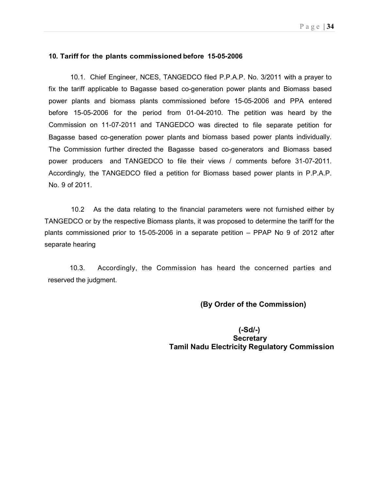### 10. Tariff for the plants commissioned before 15-05-2006

10.1. Chief Engineer, NCES, TANGEDCO filed P.P.A.P. No. 3/2011 with a prayer to fix the tariff applicable to Bagasse based co-generation power plants and Biomass based power plants and biomass plants commissioned before 15-05-2006 and PPA entered before 15-05-2006 for the period from 01-04-2010. The petition was heard by the Commission on 11-07-2011 and TANGEDCO was directed to file separate petition for Bagasse based co-generation power plants and biomass based power plants individually. The Commission further directed the Bagasse based co-generators and Biomass based power producers and TANGEDCO to file their views / comments before 31-07-2011. Accordingly, the TANGEDCO filed a petition for Biomass based power plants in P.P.A.P. No. 9 of 2011.

 10.2 As the data relating to the financial parameters were not furnished either by TANGEDCO or by the respective Biomass plants, it was proposed to determine the tariff for the plants commissioned prior to 15-05-2006 in a separate petition – PPAP No 9 of 2012 after separate hearing

10.3. Accordingly, the Commission has heard the concerned parties and reserved the judgment.

### (By Order of the Commission)

 (-Sd/-) **Secretary** Tamil Nadu Electricity Regulatory Commission